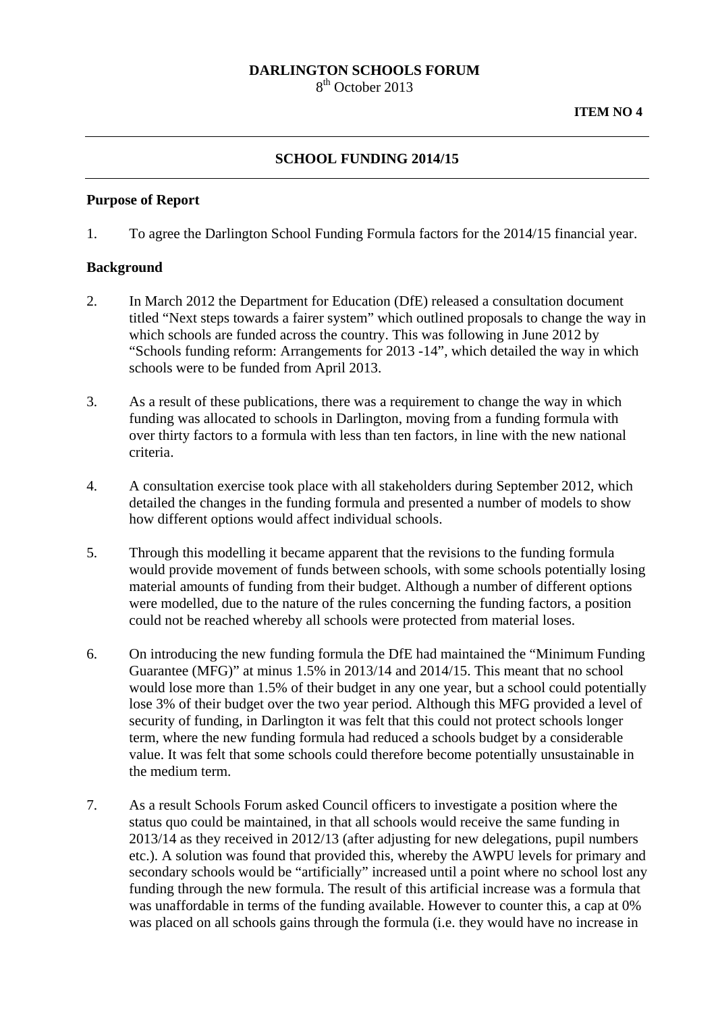#### **DARLINGTON SCHOOLS FORUM**

8<sup>th</sup> October 2013

# **SCHOOL FUNDING 2014/15**

#### **Purpose of Report**

1. To agree the Darlington School Funding Formula factors for the 2014/15 financial year.

#### **Background**

- 2. In March 2012 the Department for Education (DfE) released a consultation document titled "Next steps towards a fairer system" which outlined proposals to change the way in which schools are funded across the country. This was following in June 2012 by "Schools funding reform: Arrangements for 2013 -14", which detailed the way in which schools were to be funded from April 2013.
- 3. As a result of these publications, there was a requirement to change the way in which funding was allocated to schools in Darlington, moving from a funding formula with over thirty factors to a formula with less than ten factors, in line with the new national criteria.
- 4. A consultation exercise took place with all stakeholders during September 2012, which detailed the changes in the funding formula and presented a number of models to show how different options would affect individual schools.
- 5. Through this modelling it became apparent that the revisions to the funding formula would provide movement of funds between schools, with some schools potentially losing material amounts of funding from their budget. Although a number of different options were modelled, due to the nature of the rules concerning the funding factors, a position could not be reached whereby all schools were protected from material loses.
- 6. On introducing the new funding formula the DfE had maintained the "Minimum Funding Guarantee (MFG)" at minus 1.5% in 2013/14 and 2014/15. This meant that no school would lose more than 1.5% of their budget in any one year, but a school could potentially lose 3% of their budget over the two year period. Although this MFG provided a level of security of funding, in Darlington it was felt that this could not protect schools longer term, where the new funding formula had reduced a schools budget by a considerable value. It was felt that some schools could therefore become potentially unsustainable in the medium term.
- 7. As a result Schools Forum asked Council officers to investigate a position where the status quo could be maintained, in that all schools would receive the same funding in 2013/14 as they received in 2012/13 (after adjusting for new delegations, pupil numbers etc.). A solution was found that provided this, whereby the AWPU levels for primary and secondary schools would be "artificially" increased until a point where no school lost any funding through the new formula. The result of this artificial increase was a formula that was unaffordable in terms of the funding available. However to counter this, a cap at 0% was placed on all schools gains through the formula (i.e. they would have no increase in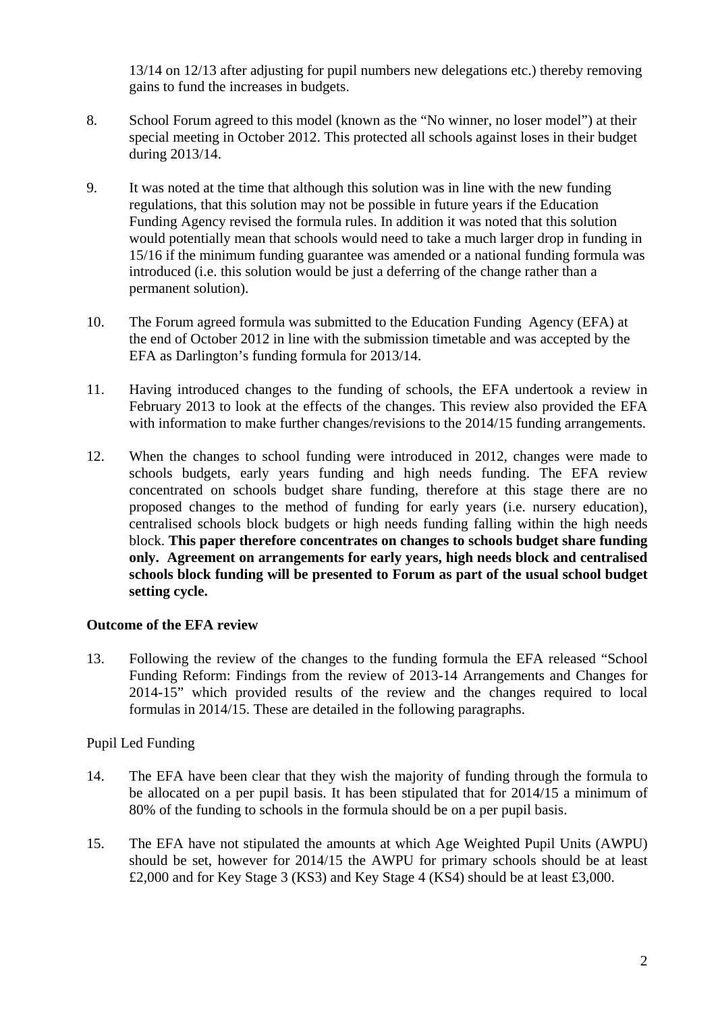13/14 on 12/13 after adjusting for pupil numbers new delegations etc.) thereby removing gains to fund the increases in budgets.

- 8. School Forum agreed to this model (known as the "No winner, no loser model") at their special meeting in October 2012. This protected all schools against loses in their budget during 2013/14.
- 9. It was noted at the time that although this solution was in line with the new funding regulations, that this solution may not be possible in future years if the Education Funding Agency revised the formula rules. In addition it was noted that this solution would potentially mean that schools would need to take a much larger drop in funding in 15/16 if the minimum funding guarantee was amended or a national funding formula was introduced (i.e. this solution would be just a deferring of the change rather than a permanent solution).
- 10. The Forum agreed formula was submitted to the Education Funding Agency (EFA) at the end of October 2012 in line with the submission timetable and was accepted by the EFA as Darlington's funding formula for 2013/14.
- 11. Having introduced changes to the funding of schools, the EFA undertook a review in February 2013 to look at the effects of the changes. This review also provided the EFA with information to make further changes/revisions to the 2014/15 funding arrangements.
- 12. When the changes to school funding were introduced in 2012, changes were made to schools budgets, early years funding and high needs funding. The EFA review concentrated on schools budget share funding, therefore at this stage there are no proposed changes to the method of funding for early years (i.e. nursery education), centralised schools block budgets or high needs funding falling within the high needs block. **This paper therefore concentrates on changes to schools budget share funding only. Agreement on arrangements for early years, high needs block and centralised schools block funding will be presented to Forum as part of the usual school budget setting cycle.**

# **Outcome of the EFA review**

13. Following the review of the changes to the funding formula the EFA released "School Funding Reform: Findings from the review of 2013-14 Arrangements and Changes for 2014-15" which provided results of the review and the changes required to local formulas in 2014/15. These are detailed in the following paragraphs.

# Pupil Led Funding

- 14. The EFA have been clear that they wish the majority of funding through the formula to be allocated on a per pupil basis. It has been stipulated that for 2014/15 a minimum of 80% of the funding to schools in the formula should be on a per pupil basis.
- 15. The EFA have not stipulated the amounts at which Age Weighted Pupil Units (AWPU) should be set, however for 2014/15 the AWPU for primary schools should be at least £2,000 and for Key Stage 3 (KS3) and Key Stage 4 (KS4) should be at least £3,000.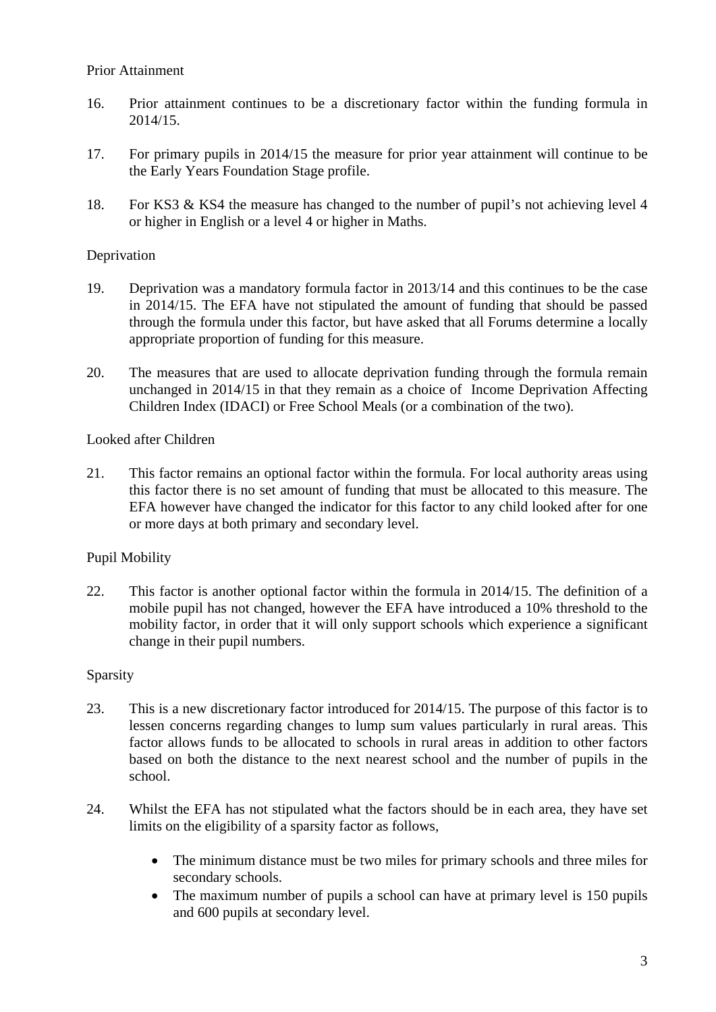- 16. Prior attainment continues to be a discretionary factor within the funding formula in 2014/15.
- 17. For primary pupils in 2014/15 the measure for prior year attainment will continue to be the Early Years Foundation Stage profile.
- 18. For KS3 & KS4 the measure has changed to the number of pupil's not achieving level 4 or higher in English or a level 4 or higher in Maths.

# Deprivation

- 19. Deprivation was a mandatory formula factor in 2013/14 and this continues to be the case in 2014/15. The EFA have not stipulated the amount of funding that should be passed through the formula under this factor, but have asked that all Forums determine a locally appropriate proportion of funding for this measure.
- 20. The measures that are used to allocate deprivation funding through the formula remain unchanged in 2014/15 in that they remain as a choice of Income Deprivation Affecting Children Index (IDACI) or Free School Meals (or a combination of the two).

#### Looked after Children

21. This factor remains an optional factor within the formula. For local authority areas using this factor there is no set amount of funding that must be allocated to this measure. The EFA however have changed the indicator for this factor to any child looked after for one or more days at both primary and secondary level.

# Pupil Mobility

22. This factor is another optional factor within the formula in 2014/15. The definition of a mobile pupil has not changed, however the EFA have introduced a 10% threshold to the mobility factor, in order that it will only support schools which experience a significant change in their pupil numbers.

#### Sparsity

- 23. This is a new discretionary factor introduced for 2014/15. The purpose of this factor is to lessen concerns regarding changes to lump sum values particularly in rural areas. This factor allows funds to be allocated to schools in rural areas in addition to other factors based on both the distance to the next nearest school and the number of pupils in the school.
- 24. Whilst the EFA has not stipulated what the factors should be in each area, they have set limits on the eligibility of a sparsity factor as follows,
	- The minimum distance must be two miles for primary schools and three miles for secondary schools.
	- The maximum number of pupils a school can have at primary level is 150 pupils and 600 pupils at secondary level.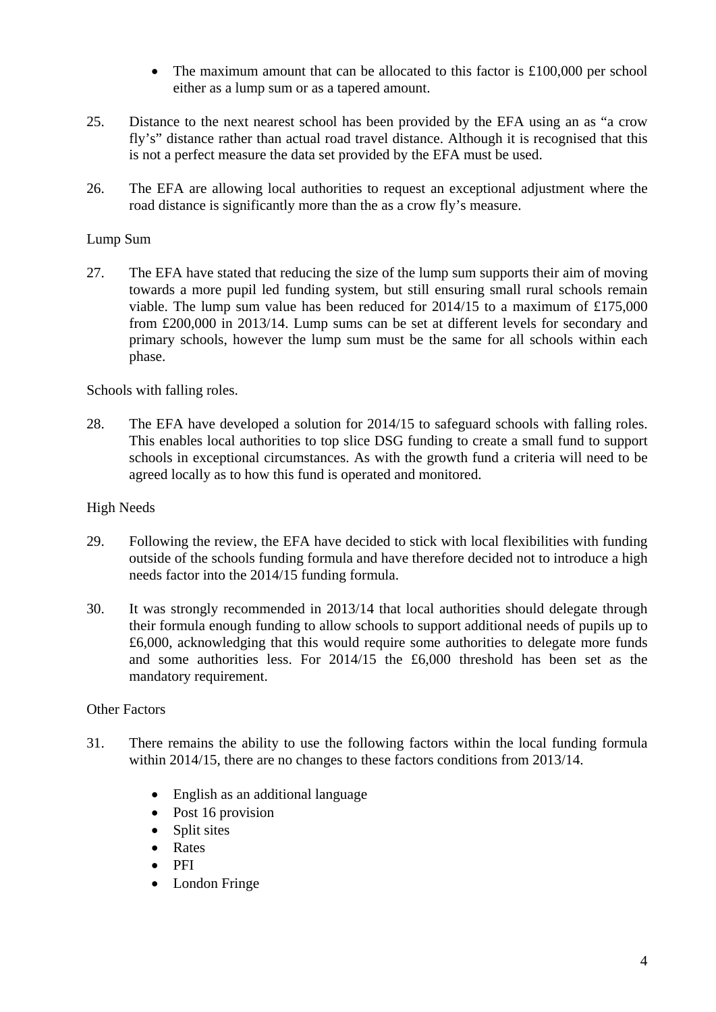- The maximum amount that can be allocated to this factor is £100,000 per school either as a lump sum or as a tapered amount.
- 25. Distance to the next nearest school has been provided by the EFA using an as "a crow fly's" distance rather than actual road travel distance. Although it is recognised that this is not a perfect measure the data set provided by the EFA must be used.
- 26. The EFA are allowing local authorities to request an exceptional adjustment where the road distance is significantly more than the as a crow fly's measure.

# Lump Sum

27. The EFA have stated that reducing the size of the lump sum supports their aim of moving towards a more pupil led funding system, but still ensuring small rural schools remain viable. The lump sum value has been reduced for 2014/15 to a maximum of £175,000 from £200,000 in 2013/14. Lump sums can be set at different levels for secondary and primary schools, however the lump sum must be the same for all schools within each phase.

Schools with falling roles.

28. The EFA have developed a solution for 2014/15 to safeguard schools with falling roles. This enables local authorities to top slice DSG funding to create a small fund to support schools in exceptional circumstances. As with the growth fund a criteria will need to be agreed locally as to how this fund is operated and monitored.

#### High Needs

- 29. Following the review, the EFA have decided to stick with local flexibilities with funding outside of the schools funding formula and have therefore decided not to introduce a high needs factor into the 2014/15 funding formula.
- 30. It was strongly recommended in 2013/14 that local authorities should delegate through their formula enough funding to allow schools to support additional needs of pupils up to £6,000, acknowledging that this would require some authorities to delegate more funds and some authorities less. For 2014/15 the £6,000 threshold has been set as the mandatory requirement.

#### Other Factors

- 31. There remains the ability to use the following factors within the local funding formula within 2014/15, there are no changes to these factors conditions from 2013/14.
	- English as an additional language
	- Post 16 provision
	- Split sites
	- Rates
	- $\bullet$  PFI
	- London Fringe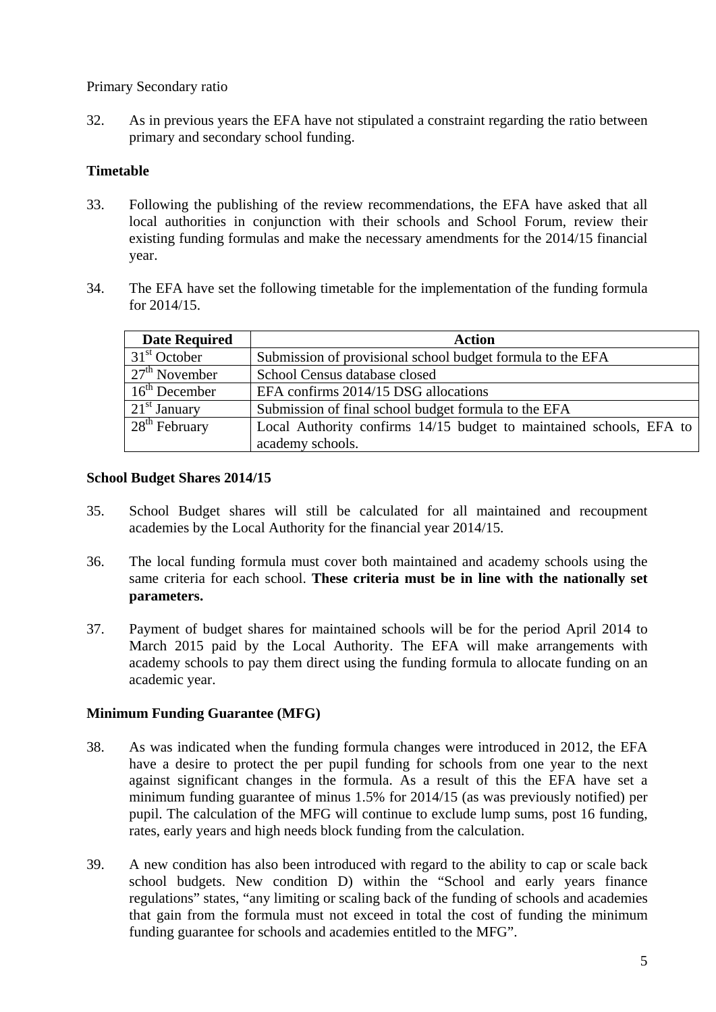Primary Secondary ratio

32. As in previous years the EFA have not stipulated a constraint regarding the ratio between primary and secondary school funding.

# **Timetable**

- 33. Following the publishing of the review recommendations, the EFA have asked that all local authorities in conjunction with their schools and School Forum, review their existing funding formulas and make the necessary amendments for the 2014/15 financial year.
- 34. The EFA have set the following timetable for the implementation of the funding formula for 2014/15.

| <b>Date Required</b> | <b>Action</b>                                                       |
|----------------------|---------------------------------------------------------------------|
| $31st$ October       | Submission of provisional school budget formula to the EFA          |
| $27th$ November      | School Census database closed                                       |
| $16th$ December      | EFA confirms 2014/15 DSG allocations                                |
| $21st$ January       | Submission of final school budget formula to the EFA                |
| $28th$ February      | Local Authority confirms 14/15 budget to maintained schools, EFA to |
|                      | academy schools.                                                    |

# **School Budget Shares 2014/15**

- 35. School Budget shares will still be calculated for all maintained and recoupment academies by the Local Authority for the financial year 2014/15.
- 36. The local funding formula must cover both maintained and academy schools using the same criteria for each school. **These criteria must be in line with the nationally set parameters.**
- 37. Payment of budget shares for maintained schools will be for the period April 2014 to March 2015 paid by the Local Authority. The EFA will make arrangements with academy schools to pay them direct using the funding formula to allocate funding on an academic year.

# **Minimum Funding Guarantee (MFG)**

- 38. As was indicated when the funding formula changes were introduced in 2012, the EFA have a desire to protect the per pupil funding for schools from one year to the next against significant changes in the formula. As a result of this the EFA have set a minimum funding guarantee of minus 1.5% for 2014/15 (as was previously notified) per pupil. The calculation of the MFG will continue to exclude lump sums, post 16 funding, rates, early years and high needs block funding from the calculation.
- 39. A new condition has also been introduced with regard to the ability to cap or scale back school budgets. New condition D) within the "School and early years finance regulations" states, "any limiting or scaling back of the funding of schools and academies that gain from the formula must not exceed in total the cost of funding the minimum funding guarantee for schools and academies entitled to the MFG".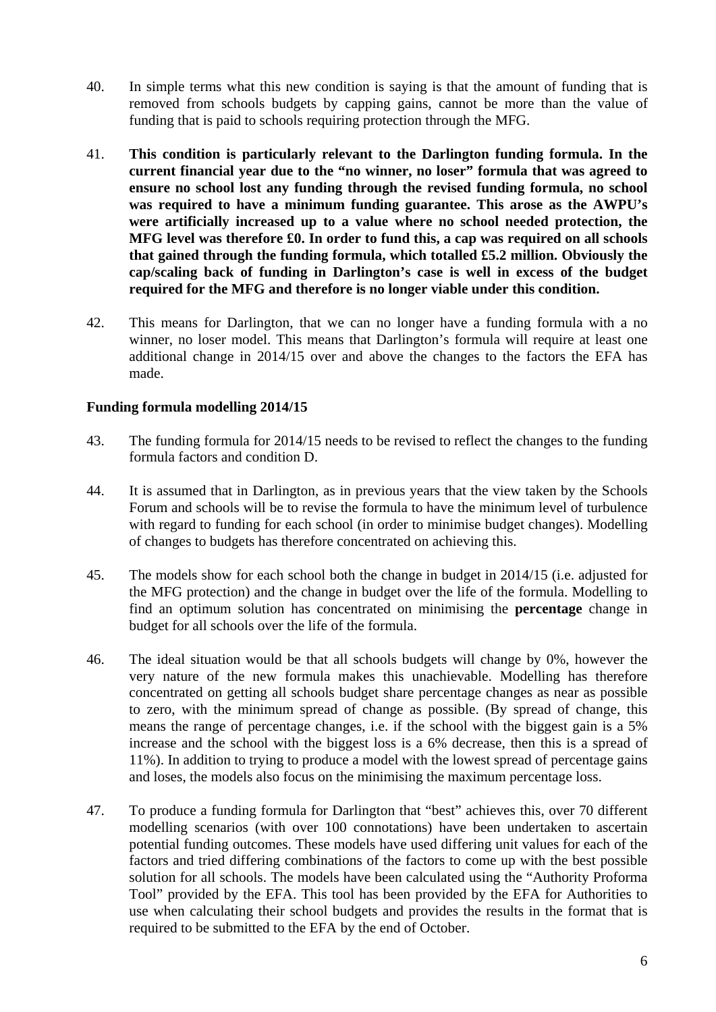- 40. In simple terms what this new condition is saying is that the amount of funding that is removed from schools budgets by capping gains, cannot be more than the value of funding that is paid to schools requiring protection through the MFG.
- 41. **This condition is particularly relevant to the Darlington funding formula. In the current financial year due to the "no winner, no loser" formula that was agreed to ensure no school lost any funding through the revised funding formula, no school was required to have a minimum funding guarantee. This arose as the AWPU's were artificially increased up to a value where no school needed protection, the MFG level was therefore £0. In order to fund this, a cap was required on all schools that gained through the funding formula, which totalled £5.2 million. Obviously the cap/scaling back of funding in Darlington's case is well in excess of the budget required for the MFG and therefore is no longer viable under this condition.**
- 42. This means for Darlington, that we can no longer have a funding formula with a no winner, no loser model. This means that Darlington's formula will require at least one additional change in 2014/15 over and above the changes to the factors the EFA has made.

#### **Funding formula modelling 2014/15**

- 43. The funding formula for 2014/15 needs to be revised to reflect the changes to the funding formula factors and condition D.
- 44. It is assumed that in Darlington, as in previous years that the view taken by the Schools Forum and schools will be to revise the formula to have the minimum level of turbulence with regard to funding for each school (in order to minimise budget changes). Modelling of changes to budgets has therefore concentrated on achieving this.
- 45. The models show for each school both the change in budget in 2014/15 (i.e. adjusted for the MFG protection) and the change in budget over the life of the formula. Modelling to find an optimum solution has concentrated on minimising the **percentage** change in budget for all schools over the life of the formula.
- 46. The ideal situation would be that all schools budgets will change by 0%, however the very nature of the new formula makes this unachievable. Modelling has therefore concentrated on getting all schools budget share percentage changes as near as possible to zero, with the minimum spread of change as possible. (By spread of change, this means the range of percentage changes, i.e. if the school with the biggest gain is a 5% increase and the school with the biggest loss is a 6% decrease, then this is a spread of 11%). In addition to trying to produce a model with the lowest spread of percentage gains and loses, the models also focus on the minimising the maximum percentage loss.
- 47. To produce a funding formula for Darlington that "best" achieves this, over 70 different modelling scenarios (with over 100 connotations) have been undertaken to ascertain potential funding outcomes. These models have used differing unit values for each of the factors and tried differing combinations of the factors to come up with the best possible solution for all schools. The models have been calculated using the "Authority Proforma Tool" provided by the EFA. This tool has been provided by the EFA for Authorities to use when calculating their school budgets and provides the results in the format that is required to be submitted to the EFA by the end of October.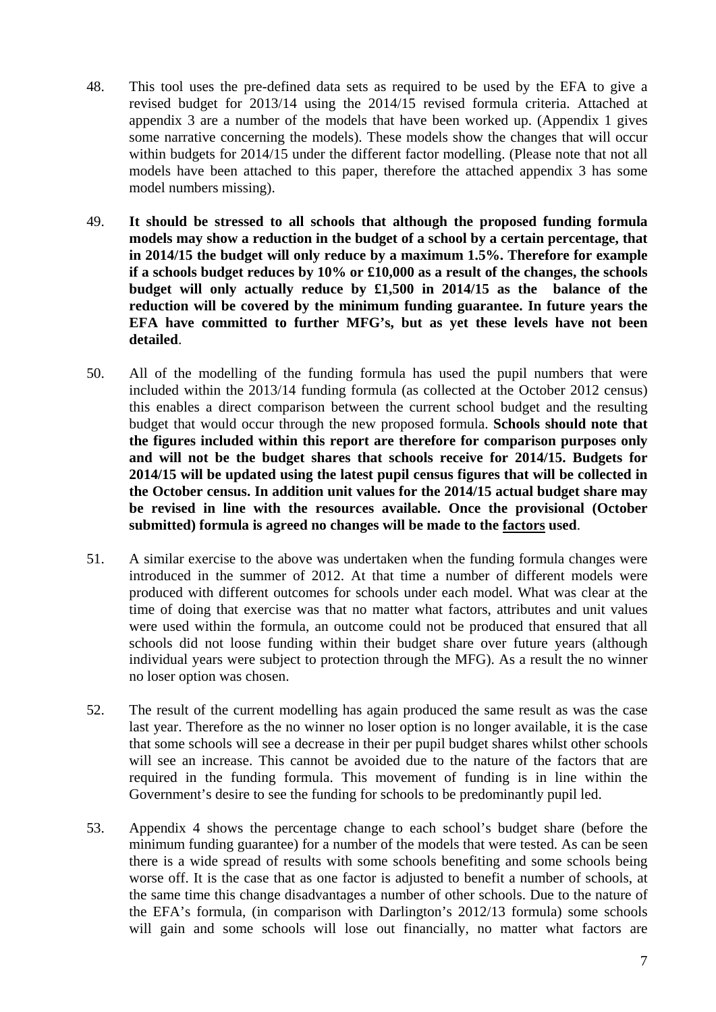- 48. This tool uses the pre-defined data sets as required to be used by the EFA to give a revised budget for 2013/14 using the 2014/15 revised formula criteria. Attached at appendix 3 are a number of the models that have been worked up. (Appendix 1 gives some narrative concerning the models). These models show the changes that will occur within budgets for 2014/15 under the different factor modelling. (Please note that not all models have been attached to this paper, therefore the attached appendix 3 has some model numbers missing).
- 49. **It should be stressed to all schools that although the proposed funding formula models may show a reduction in the budget of a school by a certain percentage, that in 2014/15 the budget will only reduce by a maximum 1.5%. Therefore for example if a schools budget reduces by 10% or £10,000 as a result of the changes, the schools budget will only actually reduce by £1,500 in 2014/15 as the balance of the reduction will be covered by the minimum funding guarantee. In future years the EFA have committed to further MFG's, but as yet these levels have not been detailed**.
- 50. All of the modelling of the funding formula has used the pupil numbers that were included within the 2013/14 funding formula (as collected at the October 2012 census) this enables a direct comparison between the current school budget and the resulting budget that would occur through the new proposed formula. **Schools should note that the figures included within this report are therefore for comparison purposes only and will not be the budget shares that schools receive for 2014/15. Budgets for 2014/15 will be updated using the latest pupil census figures that will be collected in the October census. In addition unit values for the 2014/15 actual budget share may be revised in line with the resources available. Once the provisional (October submitted) formula is agreed no changes will be made to the factors used**.
- 51. A similar exercise to the above was undertaken when the funding formula changes were introduced in the summer of 2012. At that time a number of different models were produced with different outcomes for schools under each model. What was clear at the time of doing that exercise was that no matter what factors, attributes and unit values were used within the formula, an outcome could not be produced that ensured that all schools did not loose funding within their budget share over future years (although individual years were subject to protection through the MFG). As a result the no winner no loser option was chosen.
- 52. The result of the current modelling has again produced the same result as was the case last year. Therefore as the no winner no loser option is no longer available, it is the case that some schools will see a decrease in their per pupil budget shares whilst other schools will see an increase. This cannot be avoided due to the nature of the factors that are required in the funding formula. This movement of funding is in line within the Government's desire to see the funding for schools to be predominantly pupil led.
- 53. Appendix 4 shows the percentage change to each school's budget share (before the minimum funding guarantee) for a number of the models that were tested. As can be seen there is a wide spread of results with some schools benefiting and some schools being worse off. It is the case that as one factor is adjusted to benefit a number of schools, at the same time this change disadvantages a number of other schools. Due to the nature of the EFA's formula, (in comparison with Darlington's 2012/13 formula) some schools will gain and some schools will lose out financially, no matter what factors are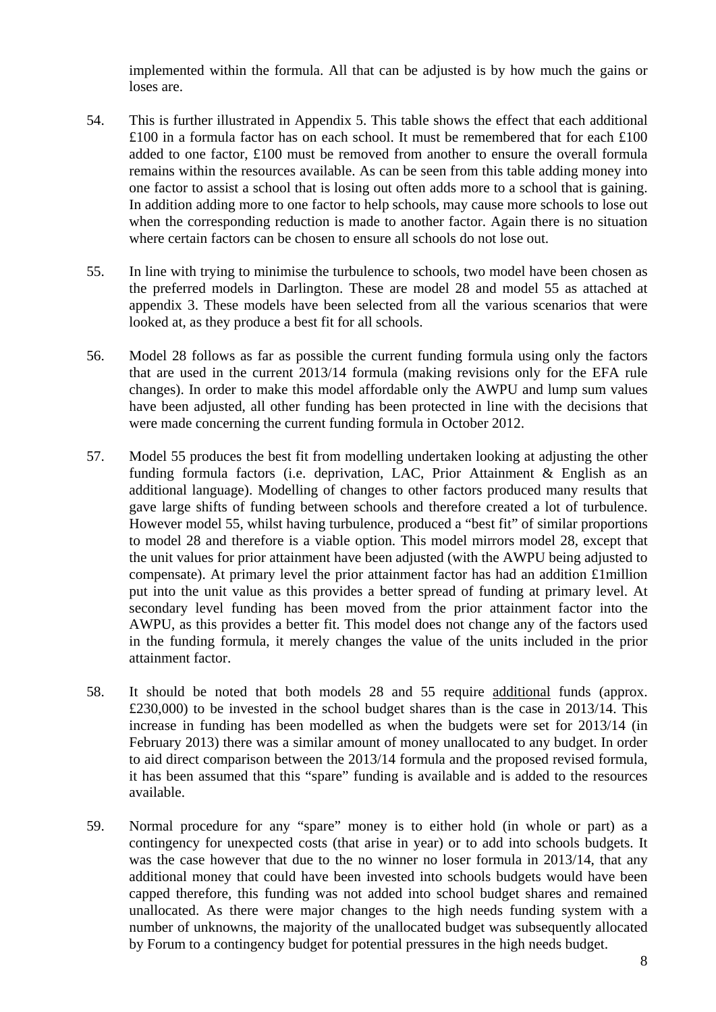implemented within the formula. All that can be adjusted is by how much the gains or loses are.

- 54. This is further illustrated in Appendix 5. This table shows the effect that each additional £100 in a formula factor has on each school. It must be remembered that for each £100 added to one factor, £100 must be removed from another to ensure the overall formula remains within the resources available. As can be seen from this table adding money into one factor to assist a school that is losing out often adds more to a school that is gaining. In addition adding more to one factor to help schools, may cause more schools to lose out when the corresponding reduction is made to another factor. Again there is no situation where certain factors can be chosen to ensure all schools do not lose out.
- 55. In line with trying to minimise the turbulence to schools, two model have been chosen as the preferred models in Darlington. These are model 28 and model 55 as attached at appendix 3. These models have been selected from all the various scenarios that were looked at, as they produce a best fit for all schools.
- 56. Model 28 follows as far as possible the current funding formula using only the factors that are used in the current 2013/14 formula (making revisions only for the EFA rule changes). In order to make this model affordable only the AWPU and lump sum values have been adjusted, all other funding has been protected in line with the decisions that were made concerning the current funding formula in October 2012.
- 57. Model 55 produces the best fit from modelling undertaken looking at adjusting the other funding formula factors (i.e. deprivation, LAC, Prior Attainment & English as an additional language). Modelling of changes to other factors produced many results that gave large shifts of funding between schools and therefore created a lot of turbulence. However model 55, whilst having turbulence, produced a "best fit" of similar proportions to model 28 and therefore is a viable option. This model mirrors model 28, except that the unit values for prior attainment have been adjusted (with the AWPU being adjusted to compensate). At primary level the prior attainment factor has had an addition £1million put into the unit value as this provides a better spread of funding at primary level. At secondary level funding has been moved from the prior attainment factor into the AWPU, as this provides a better fit. This model does not change any of the factors used in the funding formula, it merely changes the value of the units included in the prior attainment factor.
- 58. It should be noted that both models 28 and 55 require additional funds (approx. £230,000) to be invested in the school budget shares than is the case in 2013/14. This increase in funding has been modelled as when the budgets were set for 2013/14 (in February 2013) there was a similar amount of money unallocated to any budget. In order to aid direct comparison between the 2013/14 formula and the proposed revised formula, it has been assumed that this "spare" funding is available and is added to the resources available.
- 59. Normal procedure for any "spare" money is to either hold (in whole or part) as a contingency for unexpected costs (that arise in year) or to add into schools budgets. It was the case however that due to the no winner no loser formula in 2013/14, that any additional money that could have been invested into schools budgets would have been capped therefore, this funding was not added into school budget shares and remained unallocated. As there were major changes to the high needs funding system with a number of unknowns, the majority of the unallocated budget was subsequently allocated by Forum to a contingency budget for potential pressures in the high needs budget.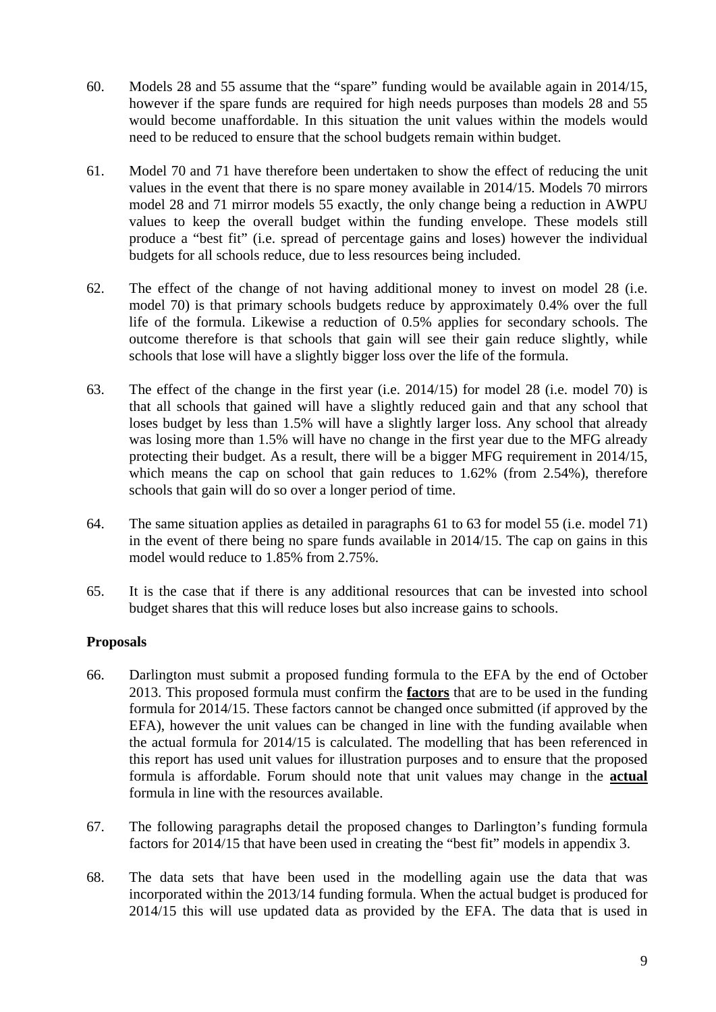- 60. Models 28 and 55 assume that the "spare" funding would be available again in 2014/15, however if the spare funds are required for high needs purposes than models 28 and 55 would become unaffordable. In this situation the unit values within the models would need to be reduced to ensure that the school budgets remain within budget.
- 61. Model 70 and 71 have therefore been undertaken to show the effect of reducing the unit values in the event that there is no spare money available in 2014/15. Models 70 mirrors model 28 and 71 mirror models 55 exactly, the only change being a reduction in AWPU values to keep the overall budget within the funding envelope. These models still produce a "best fit" (i.e. spread of percentage gains and loses) however the individual budgets for all schools reduce, due to less resources being included.
- 62. The effect of the change of not having additional money to invest on model 28 (i.e. model 70) is that primary schools budgets reduce by approximately 0.4% over the full life of the formula. Likewise a reduction of 0.5% applies for secondary schools. The outcome therefore is that schools that gain will see their gain reduce slightly, while schools that lose will have a slightly bigger loss over the life of the formula.
- 63. The effect of the change in the first year (i.e. 2014/15) for model 28 (i.e. model 70) is that all schools that gained will have a slightly reduced gain and that any school that loses budget by less than 1.5% will have a slightly larger loss. Any school that already was losing more than 1.5% will have no change in the first year due to the MFG already protecting their budget. As a result, there will be a bigger MFG requirement in 2014/15, which means the cap on school that gain reduces to 1.62% (from 2.54%), therefore schools that gain will do so over a longer period of time.
- 64. The same situation applies as detailed in paragraphs 61 to 63 for model 55 (i.e. model 71) in the event of there being no spare funds available in 2014/15. The cap on gains in this model would reduce to 1.85% from 2.75%.
- 65. It is the case that if there is any additional resources that can be invested into school budget shares that this will reduce loses but also increase gains to schools.

# **Proposals**

- 66. Darlington must submit a proposed funding formula to the EFA by the end of October 2013. This proposed formula must confirm the **factors** that are to be used in the funding formula for 2014/15. These factors cannot be changed once submitted (if approved by the EFA), however the unit values can be changed in line with the funding available when the actual formula for 2014/15 is calculated. The modelling that has been referenced in this report has used unit values for illustration purposes and to ensure that the proposed formula is affordable. Forum should note that unit values may change in the **actual** formula in line with the resources available.
- 67. The following paragraphs detail the proposed changes to Darlington's funding formula factors for 2014/15 that have been used in creating the "best fit" models in appendix 3.
- 68. The data sets that have been used in the modelling again use the data that was incorporated within the 2013/14 funding formula. When the actual budget is produced for 2014/15 this will use updated data as provided by the EFA. The data that is used in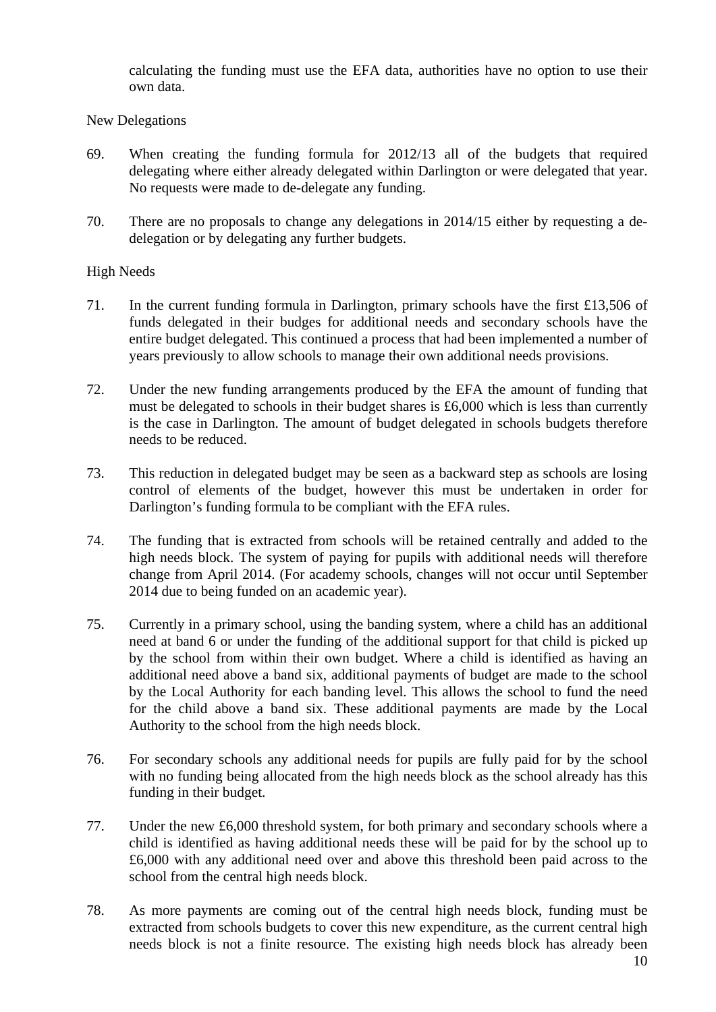calculating the funding must use the EFA data, authorities have no option to use their own data.

#### New Delegations

- 69. When creating the funding formula for 2012/13 all of the budgets that required delegating where either already delegated within Darlington or were delegated that year. No requests were made to de-delegate any funding.
- 70. There are no proposals to change any delegations in 2014/15 either by requesting a dedelegation or by delegating any further budgets.

# High Needs

- 71. In the current funding formula in Darlington, primary schools have the first £13,506 of funds delegated in their budges for additional needs and secondary schools have the entire budget delegated. This continued a process that had been implemented a number of years previously to allow schools to manage their own additional needs provisions.
- 72. Under the new funding arrangements produced by the EFA the amount of funding that must be delegated to schools in their budget shares is £6,000 which is less than currently is the case in Darlington. The amount of budget delegated in schools budgets therefore needs to be reduced.
- 73. This reduction in delegated budget may be seen as a backward step as schools are losing control of elements of the budget, however this must be undertaken in order for Darlington's funding formula to be compliant with the EFA rules.
- 74. The funding that is extracted from schools will be retained centrally and added to the high needs block. The system of paying for pupils with additional needs will therefore change from April 2014. (For academy schools, changes will not occur until September 2014 due to being funded on an academic year).
- 75. Currently in a primary school, using the banding system, where a child has an additional need at band 6 or under the funding of the additional support for that child is picked up by the school from within their own budget. Where a child is identified as having an additional need above a band six, additional payments of budget are made to the school by the Local Authority for each banding level. This allows the school to fund the need for the child above a band six. These additional payments are made by the Local Authority to the school from the high needs block.
- 76. For secondary schools any additional needs for pupils are fully paid for by the school with no funding being allocated from the high needs block as the school already has this funding in their budget.
- 77. Under the new £6,000 threshold system, for both primary and secondary schools where a child is identified as having additional needs these will be paid for by the school up to £6,000 with any additional need over and above this threshold been paid across to the school from the central high needs block.
- 78. As more payments are coming out of the central high needs block, funding must be extracted from schools budgets to cover this new expenditure, as the current central high needs block is not a finite resource. The existing high needs block has already been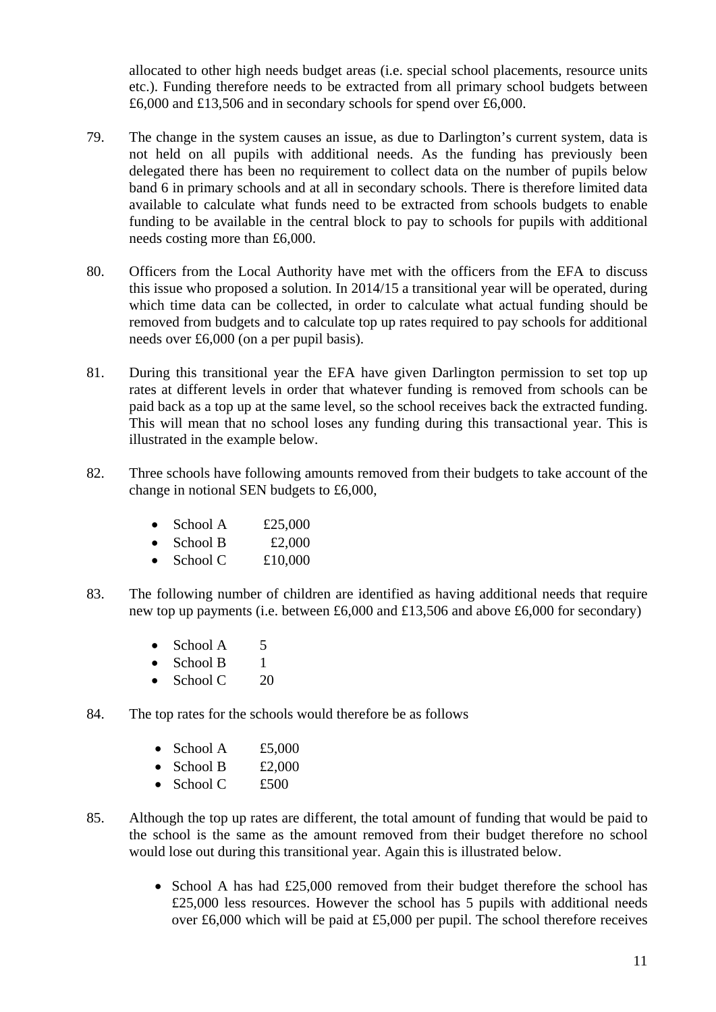allocated to other high needs budget areas (i.e. special school placements, resource units etc.). Funding therefore needs to be extracted from all primary school budgets between £6,000 and £13,506 and in secondary schools for spend over £6,000.

- 79. The change in the system causes an issue, as due to Darlington's current system, data is not held on all pupils with additional needs. As the funding has previously been delegated there has been no requirement to collect data on the number of pupils below band 6 in primary schools and at all in secondary schools. There is therefore limited data available to calculate what funds need to be extracted from schools budgets to enable funding to be available in the central block to pay to schools for pupils with additional needs costing more than £6,000.
- 80. Officers from the Local Authority have met with the officers from the EFA to discuss this issue who proposed a solution. In 2014/15 a transitional year will be operated, during which time data can be collected, in order to calculate what actual funding should be removed from budgets and to calculate top up rates required to pay schools for additional needs over £6,000 (on a per pupil basis).
- 81. During this transitional year the EFA have given Darlington permission to set top up rates at different levels in order that whatever funding is removed from schools can be paid back as a top up at the same level, so the school receives back the extracted funding. This will mean that no school loses any funding during this transactional year. This is illustrated in the example below.
- 82. Three schools have following amounts removed from their budgets to take account of the change in notional SEN budgets to £6,000,
	- School A  $£25,000$
	- School B  $£2,000$
	- $\bullet$  School C  $\pm 10,000$
- 83. The following number of children are identified as having additional needs that require new top up payments (i.e. between £6,000 and £13,506 and above £6,000 for secondary)
	- $\bullet$  School A 5
	- $\bullet$  School B 1
	- School  $C = 20$
- 84. The top rates for the schools would therefore be as follows
	- School A  $£5,000$
	- School B  $£2,000$
	- School C  $£500$
- 85. Although the top up rates are different, the total amount of funding that would be paid to the school is the same as the amount removed from their budget therefore no school would lose out during this transitional year. Again this is illustrated below.
	- School A has had £25,000 removed from their budget therefore the school has £25,000 less resources. However the school has 5 pupils with additional needs over £6,000 which will be paid at £5,000 per pupil. The school therefore receives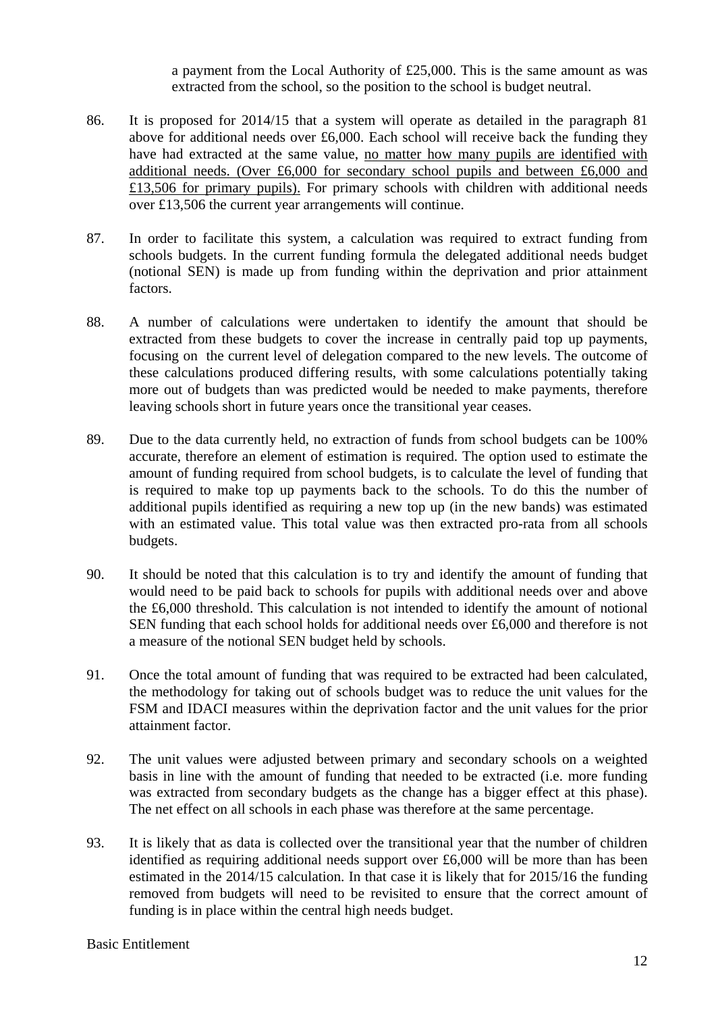a payment from the Local Authority of £25,000. This is the same amount as was extracted from the school, so the position to the school is budget neutral.

- 86. It is proposed for 2014/15 that a system will operate as detailed in the paragraph 81 above for additional needs over £6,000. Each school will receive back the funding they have had extracted at the same value, no matter how many pupils are identified with additional needs. (Over £6,000 for secondary school pupils and between £6,000 and £13,506 for primary pupils). For primary schools with children with additional needs over £13,506 the current year arrangements will continue.
- 87. In order to facilitate this system, a calculation was required to extract funding from schools budgets. In the current funding formula the delegated additional needs budget (notional SEN) is made up from funding within the deprivation and prior attainment factors.
- 88. A number of calculations were undertaken to identify the amount that should be extracted from these budgets to cover the increase in centrally paid top up payments, focusing on the current level of delegation compared to the new levels. The outcome of these calculations produced differing results, with some calculations potentially taking more out of budgets than was predicted would be needed to make payments, therefore leaving schools short in future years once the transitional year ceases.
- 89. Due to the data currently held, no extraction of funds from school budgets can be 100% accurate, therefore an element of estimation is required. The option used to estimate the amount of funding required from school budgets, is to calculate the level of funding that is required to make top up payments back to the schools. To do this the number of additional pupils identified as requiring a new top up (in the new bands) was estimated with an estimated value. This total value was then extracted pro-rata from all schools budgets.
- 90. It should be noted that this calculation is to try and identify the amount of funding that would need to be paid back to schools for pupils with additional needs over and above the £6,000 threshold. This calculation is not intended to identify the amount of notional SEN funding that each school holds for additional needs over £6,000 and therefore is not a measure of the notional SEN budget held by schools.
- 91. Once the total amount of funding that was required to be extracted had been calculated, the methodology for taking out of schools budget was to reduce the unit values for the FSM and IDACI measures within the deprivation factor and the unit values for the prior attainment factor.
- 92. The unit values were adjusted between primary and secondary schools on a weighted basis in line with the amount of funding that needed to be extracted (i.e. more funding was extracted from secondary budgets as the change has a bigger effect at this phase). The net effect on all schools in each phase was therefore at the same percentage.
- 93. It is likely that as data is collected over the transitional year that the number of children identified as requiring additional needs support over £6,000 will be more than has been estimated in the 2014/15 calculation. In that case it is likely that for 2015/16 the funding removed from budgets will need to be revisited to ensure that the correct amount of funding is in place within the central high needs budget.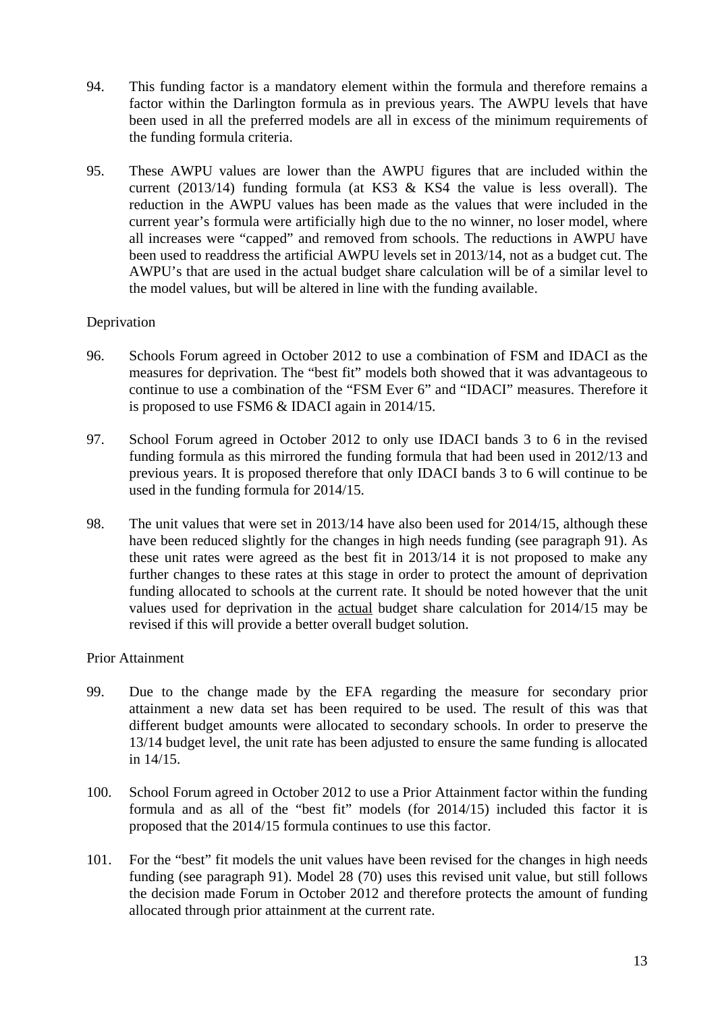- 94. This funding factor is a mandatory element within the formula and therefore remains a factor within the Darlington formula as in previous years. The AWPU levels that have been used in all the preferred models are all in excess of the minimum requirements of the funding formula criteria.
- 95. These AWPU values are lower than the AWPU figures that are included within the current (2013/14) funding formula (at KS3 & KS4 the value is less overall). The reduction in the AWPU values has been made as the values that were included in the current year's formula were artificially high due to the no winner, no loser model, where all increases were "capped" and removed from schools. The reductions in AWPU have been used to readdress the artificial AWPU levels set in 2013/14, not as a budget cut. The AWPU's that are used in the actual budget share calculation will be of a similar level to the model values, but will be altered in line with the funding available.

# Deprivation

- 96. Schools Forum agreed in October 2012 to use a combination of FSM and IDACI as the measures for deprivation. The "best fit" models both showed that it was advantageous to continue to use a combination of the "FSM Ever 6" and "IDACI" measures. Therefore it is proposed to use FSM6 & IDACI again in 2014/15.
- 97. School Forum agreed in October 2012 to only use IDACI bands 3 to 6 in the revised funding formula as this mirrored the funding formula that had been used in 2012/13 and previous years. It is proposed therefore that only IDACI bands 3 to 6 will continue to be used in the funding formula for 2014/15.
- 98. The unit values that were set in 2013/14 have also been used for 2014/15, although these have been reduced slightly for the changes in high needs funding (see paragraph 91). As these unit rates were agreed as the best fit in 2013/14 it is not proposed to make any further changes to these rates at this stage in order to protect the amount of deprivation funding allocated to schools at the current rate. It should be noted however that the unit values used for deprivation in the actual budget share calculation for 2014/15 may be revised if this will provide a better overall budget solution.

#### Prior Attainment

- 99. Due to the change made by the EFA regarding the measure for secondary prior attainment a new data set has been required to be used. The result of this was that different budget amounts were allocated to secondary schools. In order to preserve the 13/14 budget level, the unit rate has been adjusted to ensure the same funding is allocated in 14/15.
- 100. School Forum agreed in October 2012 to use a Prior Attainment factor within the funding formula and as all of the "best fit" models (for 2014/15) included this factor it is proposed that the 2014/15 formula continues to use this factor.
- 101. For the "best" fit models the unit values have been revised for the changes in high needs funding (see paragraph 91). Model 28 (70) uses this revised unit value, but still follows the decision made Forum in October 2012 and therefore protects the amount of funding allocated through prior attainment at the current rate.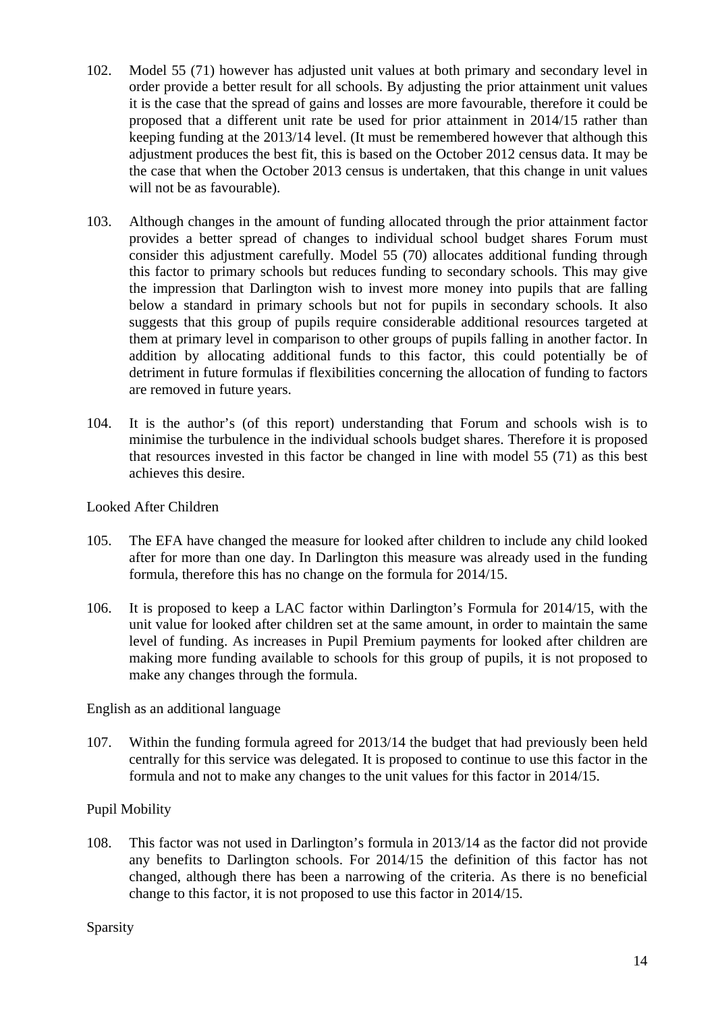- 102. Model 55 (71) however has adjusted unit values at both primary and secondary level in order provide a better result for all schools. By adjusting the prior attainment unit values it is the case that the spread of gains and losses are more favourable, therefore it could be proposed that a different unit rate be used for prior attainment in 2014/15 rather than keeping funding at the 2013/14 level. (It must be remembered however that although this adjustment produces the best fit, this is based on the October 2012 census data. It may be the case that when the October 2013 census is undertaken, that this change in unit values will not be as favourable).
- 103. Although changes in the amount of funding allocated through the prior attainment factor provides a better spread of changes to individual school budget shares Forum must consider this adjustment carefully. Model 55 (70) allocates additional funding through this factor to primary schools but reduces funding to secondary schools. This may give the impression that Darlington wish to invest more money into pupils that are falling below a standard in primary schools but not for pupils in secondary schools. It also suggests that this group of pupils require considerable additional resources targeted at them at primary level in comparison to other groups of pupils falling in another factor. In addition by allocating additional funds to this factor, this could potentially be of detriment in future formulas if flexibilities concerning the allocation of funding to factors are removed in future years.
- 104. It is the author's (of this report) understanding that Forum and schools wish is to minimise the turbulence in the individual schools budget shares. Therefore it is proposed that resources invested in this factor be changed in line with model 55 (71) as this best achieves this desire.

Looked After Children

- 105. The EFA have changed the measure for looked after children to include any child looked after for more than one day. In Darlington this measure was already used in the funding formula, therefore this has no change on the formula for 2014/15.
- 106. It is proposed to keep a LAC factor within Darlington's Formula for 2014/15, with the unit value for looked after children set at the same amount, in order to maintain the same level of funding. As increases in Pupil Premium payments for looked after children are making more funding available to schools for this group of pupils, it is not proposed to make any changes through the formula.

English as an additional language

107. Within the funding formula agreed for 2013/14 the budget that had previously been held centrally for this service was delegated. It is proposed to continue to use this factor in the formula and not to make any changes to the unit values for this factor in 2014/15.

# Pupil Mobility

108. This factor was not used in Darlington's formula in 2013/14 as the factor did not provide any benefits to Darlington schools. For 2014/15 the definition of this factor has not changed, although there has been a narrowing of the criteria. As there is no beneficial change to this factor, it is not proposed to use this factor in 2014/15.

Sparsity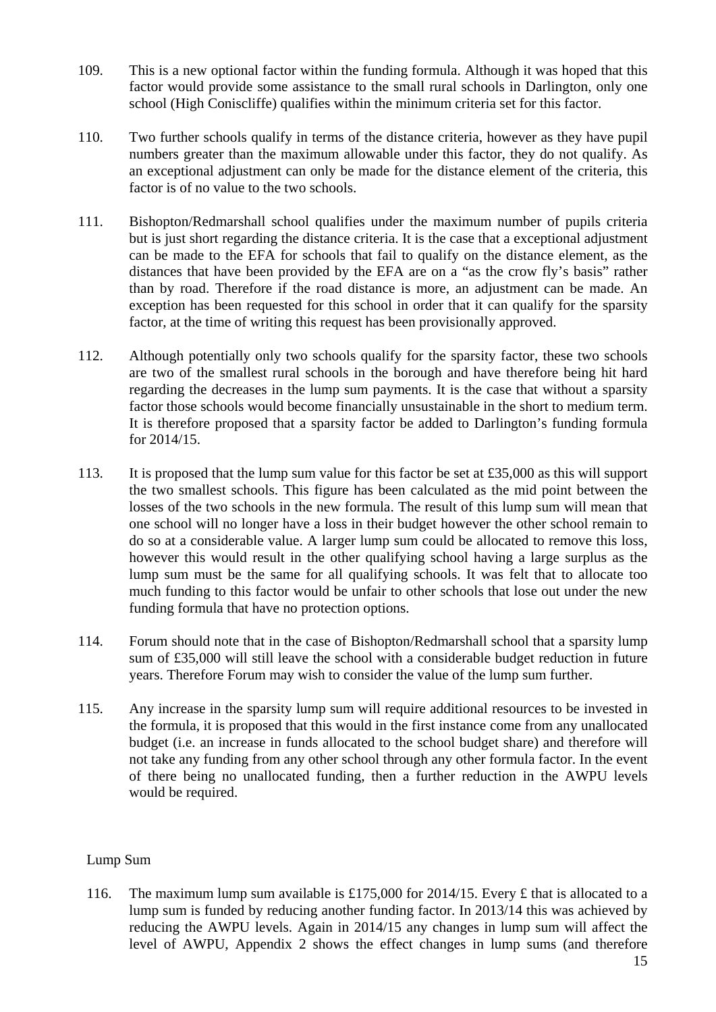- 109. This is a new optional factor within the funding formula. Although it was hoped that this factor would provide some assistance to the small rural schools in Darlington, only one school (High Coniscliffe) qualifies within the minimum criteria set for this factor.
- 110. Two further schools qualify in terms of the distance criteria, however as they have pupil numbers greater than the maximum allowable under this factor, they do not qualify. As an exceptional adjustment can only be made for the distance element of the criteria, this factor is of no value to the two schools.
- 111. Bishopton/Redmarshall school qualifies under the maximum number of pupils criteria but is just short regarding the distance criteria. It is the case that a exceptional adjustment can be made to the EFA for schools that fail to qualify on the distance element, as the distances that have been provided by the EFA are on a "as the crow fly's basis" rather than by road. Therefore if the road distance is more, an adjustment can be made. An exception has been requested for this school in order that it can qualify for the sparsity factor, at the time of writing this request has been provisionally approved.
- 112. Although potentially only two schools qualify for the sparsity factor, these two schools are two of the smallest rural schools in the borough and have therefore being hit hard regarding the decreases in the lump sum payments. It is the case that without a sparsity factor those schools would become financially unsustainable in the short to medium term. It is therefore proposed that a sparsity factor be added to Darlington's funding formula for 2014/15.
- 113. It is proposed that the lump sum value for this factor be set at £35,000 as this will support the two smallest schools. This figure has been calculated as the mid point between the losses of the two schools in the new formula. The result of this lump sum will mean that one school will no longer have a loss in their budget however the other school remain to do so at a considerable value. A larger lump sum could be allocated to remove this loss, however this would result in the other qualifying school having a large surplus as the lump sum must be the same for all qualifying schools. It was felt that to allocate too much funding to this factor would be unfair to other schools that lose out under the new funding formula that have no protection options.
- 114. Forum should note that in the case of Bishopton/Redmarshall school that a sparsity lump sum of £35,000 will still leave the school with a considerable budget reduction in future years. Therefore Forum may wish to consider the value of the lump sum further.
- 115. Any increase in the sparsity lump sum will require additional resources to be invested in the formula, it is proposed that this would in the first instance come from any unallocated budget (i.e. an increase in funds allocated to the school budget share) and therefore will not take any funding from any other school through any other formula factor. In the event of there being no unallocated funding, then a further reduction in the AWPU levels would be required.

# Lump Sum

116. The maximum lump sum available is £175,000 for 2014/15. Every £ that is allocated to a lump sum is funded by reducing another funding factor. In 2013/14 this was achieved by reducing the AWPU levels. Again in 2014/15 any changes in lump sum will affect the level of AWPU, Appendix 2 shows the effect changes in lump sums (and therefore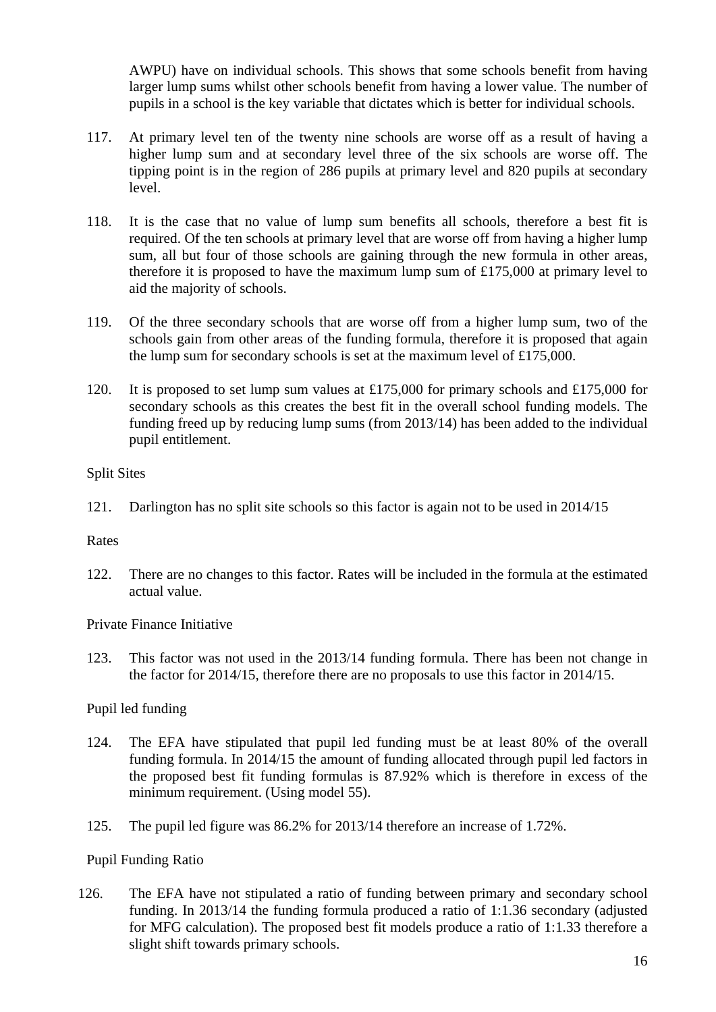AWPU) have on individual schools. This shows that some schools benefit from having larger lump sums whilst other schools benefit from having a lower value. The number of pupils in a school is the key variable that dictates which is better for individual schools.

- 117. At primary level ten of the twenty nine schools are worse off as a result of having a higher lump sum and at secondary level three of the six schools are worse off. The tipping point is in the region of 286 pupils at primary level and 820 pupils at secondary level.
- 118. It is the case that no value of lump sum benefits all schools, therefore a best fit is required. Of the ten schools at primary level that are worse off from having a higher lump sum, all but four of those schools are gaining through the new formula in other areas, therefore it is proposed to have the maximum lump sum of £175,000 at primary level to aid the majority of schools.
- 119. Of the three secondary schools that are worse off from a higher lump sum, two of the schools gain from other areas of the funding formula, therefore it is proposed that again the lump sum for secondary schools is set at the maximum level of £175,000.
- 120. It is proposed to set lump sum values at £175,000 for primary schools and £175,000 for secondary schools as this creates the best fit in the overall school funding models. The funding freed up by reducing lump sums (from 2013/14) has been added to the individual pupil entitlement.

# Split Sites

121. Darlington has no split site schools so this factor is again not to be used in 2014/15

#### Rates

122. There are no changes to this factor. Rates will be included in the formula at the estimated actual value.

Private Finance Initiative

123. This factor was not used in the 2013/14 funding formula. There has been not change in the factor for 2014/15, therefore there are no proposals to use this factor in 2014/15.

# Pupil led funding

- 124. The EFA have stipulated that pupil led funding must be at least 80% of the overall funding formula. In 2014/15 the amount of funding allocated through pupil led factors in the proposed best fit funding formulas is 87.92% which is therefore in excess of the minimum requirement. (Using model 55).
- 125. The pupil led figure was 86.2% for 2013/14 therefore an increase of 1.72%.

# Pupil Funding Ratio

126. The EFA have not stipulated a ratio of funding between primary and secondary school funding. In 2013/14 the funding formula produced a ratio of 1:1.36 secondary (adjusted for MFG calculation). The proposed best fit models produce a ratio of 1:1.33 therefore a slight shift towards primary schools.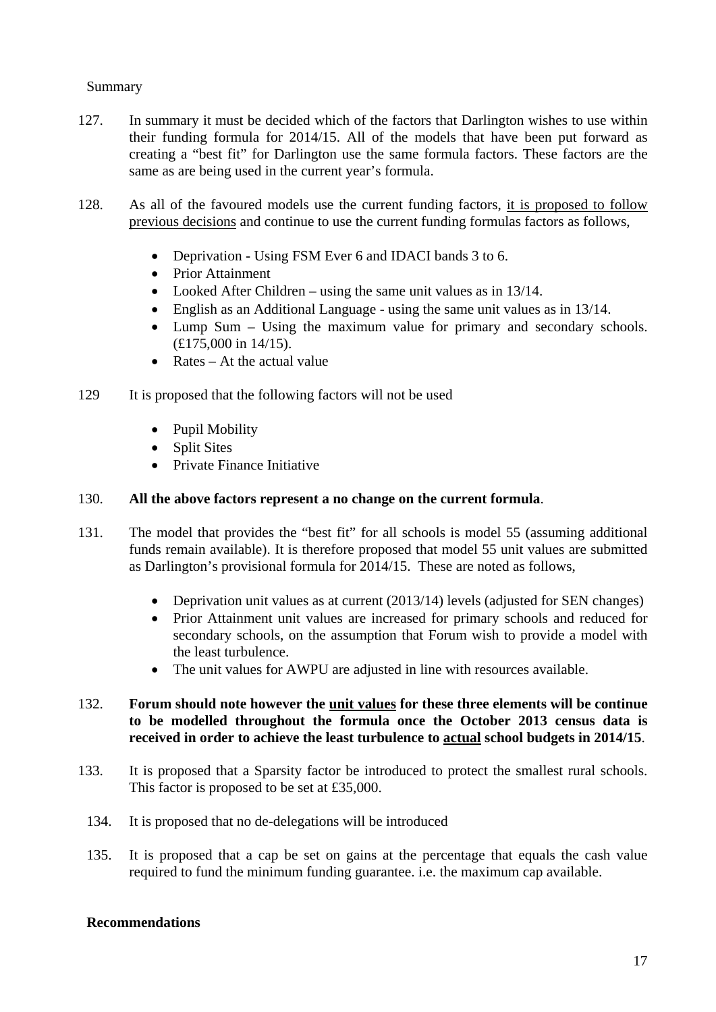#### Summary

- 127. In summary it must be decided which of the factors that Darlington wishes to use within their funding formula for 2014/15. All of the models that have been put forward as creating a "best fit" for Darlington use the same formula factors. These factors are the same as are being used in the current year's formula.
- 128. As all of the favoured models use the current funding factors, it is proposed to follow previous decisions and continue to use the current funding formulas factors as follows,
	- Deprivation Using FSM Ever 6 and IDACI bands 3 to 6.
	- Prior Attainment
	- Looked After Children using the same unit values as in 13/14.
	- English as an Additional Language using the same unit values as in 13/14.
	- Lump Sum Using the maximum value for primary and secondary schools. (£175,000 in 14/15).
	- Rates At the actual value
- 129 It is proposed that the following factors will not be used
	- Pupil Mobility
	- Split Sites
	- Private Finance Initiative

#### 130. **All the above factors represent a no change on the current formula**.

- 131. The model that provides the "best fit" for all schools is model 55 (assuming additional funds remain available). It is therefore proposed that model 55 unit values are submitted as Darlington's provisional formula for 2014/15. These are noted as follows,
	- Deprivation unit values as at current (2013/14) levels (adjusted for SEN changes)
	- Prior Attainment unit values are increased for primary schools and reduced for secondary schools, on the assumption that Forum wish to provide a model with the least turbulence.
	- The unit values for AWPU are adjusted in line with resources available.

# 132. **Forum should note however the unit values for these three elements will be continue to be modelled throughout the formula once the October 2013 census data is received in order to achieve the least turbulence to actual school budgets in 2014/15**.

- 133. It is proposed that a Sparsity factor be introduced to protect the smallest rural schools. This factor is proposed to be set at £35,000.
	- 134. It is proposed that no de-delegations will be introduced
	- 135. It is proposed that a cap be set on gains at the percentage that equals the cash value required to fund the minimum funding guarantee. i.e. the maximum cap available.

#### **Recommendations**